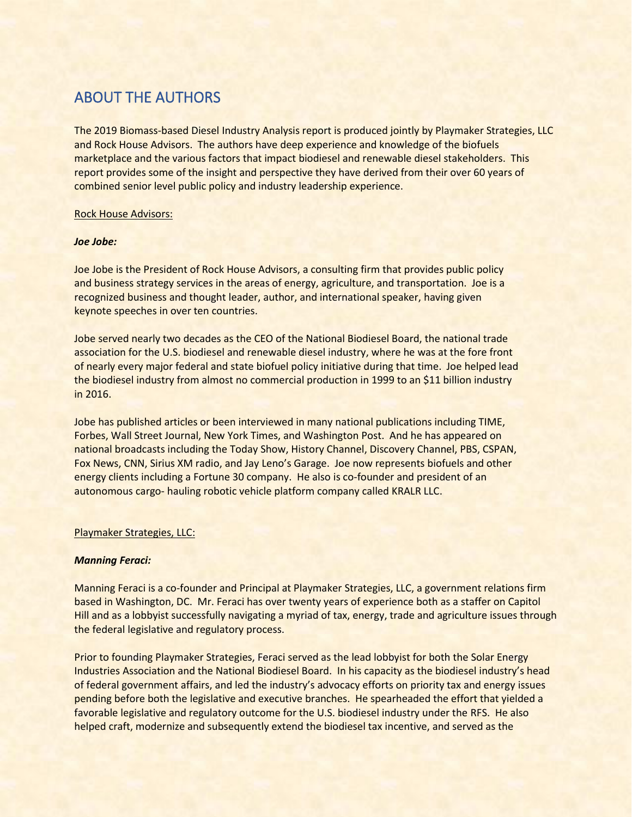# ABOUT THE AUTHORS

The 2019 Biomass-based Diesel Industry Analysis report is produced jointly by Playmaker Strategies, LLC and Rock House Advisors. The authors have deep experience and knowledge of the biofuels marketplace and the various factors that impact biodiesel and renewable diesel stakeholders. This report provides some of the insight and perspective they have derived from their over 60 years of combined senior level public policy and industry leadership experience.

### Rock House Advisors:

### *Joe Jobe:*

Joe Jobe is the President of Rock House Advisors, a consulting firm that provides public policy and business strategy services in the areas of energy, agriculture, and transportation. Joe is a recognized business and thought leader, author, and international speaker, having given keynote speeches in over ten countries.

Jobe served nearly two decades as the CEO of the National Biodiesel Board, the national trade association for the U.S. biodiesel and renewable diesel industry, where he was at the fore front of nearly every major federal and state biofuel policy initiative during that time. Joe helped lead the biodiesel industry from almost no commercial production in 1999 to an \$11 billion industry in 2016.

Jobe has published articles or been interviewed in many national publications including TIME, Forbes, Wall Street Journal, New York Times, and Washington Post. And he has appeared on national broadcasts including the Today Show, History Channel, Discovery Channel, PBS, CSPAN, Fox News, CNN, Sirius XM radio, and Jay Leno's Garage. Joe now represents biofuels and other energy clients including a Fortune 30 company. He also is co-founder and president of an autonomous cargo- hauling robotic vehicle platform company called KRALR LLC.

### Playmaker Strategies, LLC:

## *Manning Feraci:*

Manning Feraci is a co-founder and Principal at Playmaker Strategies, LLC, a government relations firm based in Washington, DC. Mr. Feraci has over twenty years of experience both as a staffer on Capitol Hill and as a lobbyist successfully navigating a myriad of tax, energy, trade and agriculture issues through the federal legislative and regulatory process.

Prior to founding Playmaker Strategies, Feraci served as the lead lobbyist for both the Solar Energy Industries Association and the National Biodiesel Board. In his capacity as the biodiesel industry's head of federal government affairs, and led the industry's advocacy efforts on priority tax and energy issues pending before both the legislative and executive branches. He spearheaded the effort that yielded a favorable legislative and regulatory outcome for the U.S. biodiesel industry under the RFS. He also helped craft, modernize and subsequently extend the biodiesel tax incentive, and served as the